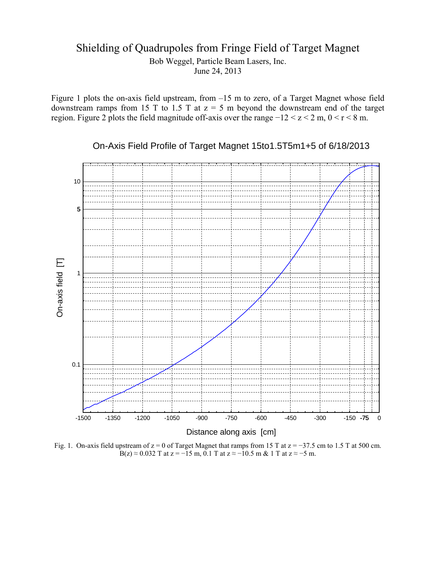## Shielding of Quadrupoles from Fringe Field of Target Magnet Bob Weggel, Particle Beam Lasers, Inc. June 24, 2013

Figure 1 plots the on-axis field upstream, from –15 m to zero, of a Target Magnet whose field downstream ramps from 15 T to 1.5 T at  $z = 5$  m beyond the downstream end of the target region. Figure 2 plots the field magnitude off-axis over the range −12 < z < 2 m, 0 < r < 8 m.

10 5 On-axis field [T] On-axis field [T] 1 0.1 -1500 -1350 -1200 -1050 -900 -750 -600 -450 -300 -150 -75 0 Distance along axis [cm]

Fig. 1. On-axis field upstream of z = 0 of Target Magnet that ramps from 15 T at z = −37.5 cm to 1.5 T at 500 cm. B(z)  $\approx$  0.032 T at z = −15 m, 0.1 T at z  $\approx$  −10.5 m & 1 T at z  $\approx$  −5 m.

On-Axis Field Profile of Target Magnet 15to1.5T5m1+5 of 6/18/2013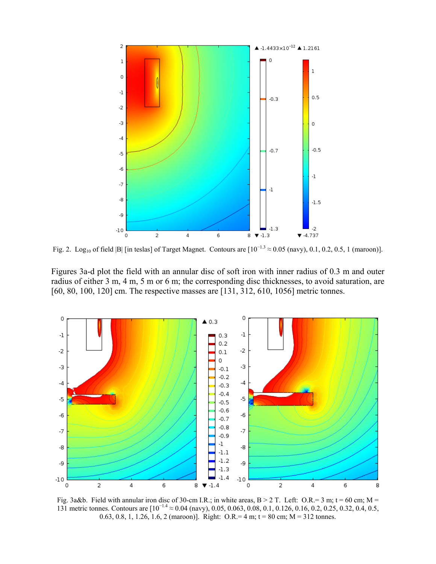

Fig. 2. Log<sub>10</sub> of field |B| [in teslas] of Target Magnet. Contours are  $[10^{-1.3} \approx 0.05$  (navy), 0.1, 0.2, 0.5, 1 (maroon)].

Figures 3a-d plot the field with an annular disc of soft iron with inner radius of 0.3 m and outer radius of either 3 m, 4 m, 5 m or 6 m; the corresponding disc thicknesses, to avoid saturation, are [60, 80, 100, 120] cm. The respective masses are [131, 312, 610, 1056] metric tonnes.



Fig. 3a&b. Field with annular iron disc of 30-cm I.R.; in white areas, B > 2 T. Left: O.R.= 3 m; t = 60 cm; M = 131 metric tonnes. Contours are [10<sup>−</sup>1.4 ≈ 0.04 (navy), 0.05, 0.063, 0.08, 0.1, 0.126, 0.16, 0.2, 0.25, 0.32, 0.4, 0.5, 0.63, 0.8, 1, 1.26, 1.6, 2 (maroon)]. Right: O.R.= 4 m; t = 80 cm; M = 312 tonnes.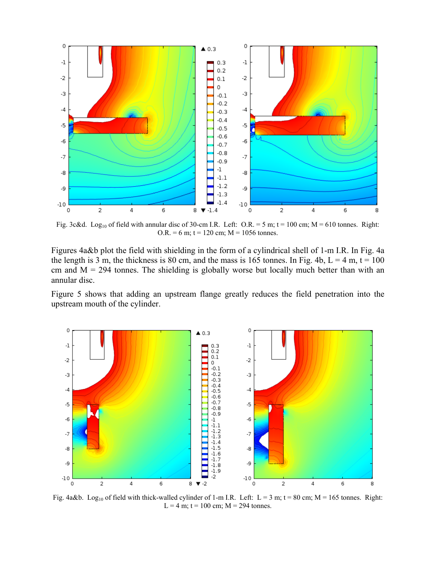

Fig. 3c&d. Log<sub>10</sub> of field with annular disc of 30-cm I.R. Left: O.R. = 5 m; t = 100 cm; M = 610 tonnes. Right:  $O.R. = 6 m$ ;  $t = 120 cm$ ;  $M = 1056$  tonnes.

Figures 4a&b plot the field with shielding in the form of a cylindrical shell of 1-m I.R. In Fig. 4a the length is 3 m, the thickness is 80 cm, and the mass is 165 tonnes. In Fig. 4b,  $L = 4$  m,  $t = 100$ cm and  $M = 294$  tonnes. The shielding is globally worse but locally much better than with an annular disc.

Figure 5 shows that adding an upstream flange greatly reduces the field penetration into the upstream mouth of the cylinder.



Fig. 4a&b. Log<sub>10</sub> of field with thick-walled cylinder of 1-m I.R. Left: L = 3 m; t = 80 cm; M = 165 tonnes. Right: L = 4 m; t = 100 cm;  $M = 294$  tonnes.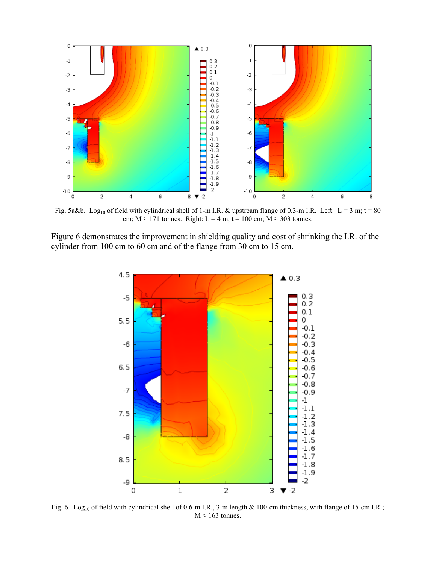

Fig. 5a&b. Log<sub>10</sub> of field with cylindrical shell of 1-m I.R. & upstream flange of 0.3-m I.R. Left: L = 3 m; t = 80 cm;  $M \approx 171$  tonnes. Right: L = 4 m; t = 100 cm; M  $\approx$  303 tonnes.

Figure 6 demonstrates the improvement in shielding quality and cost of shrinking the I.R. of the cylinder from 100 cm to 60 cm and of the flange from 30 cm to 15 cm.



Fig. 6. Log<sub>10</sub> of field with cylindrical shell of 0.6-m I.R., 3-m length & 100-cm thickness, with flange of 15-cm I.R.;  $M \approx 163$  tonnes.